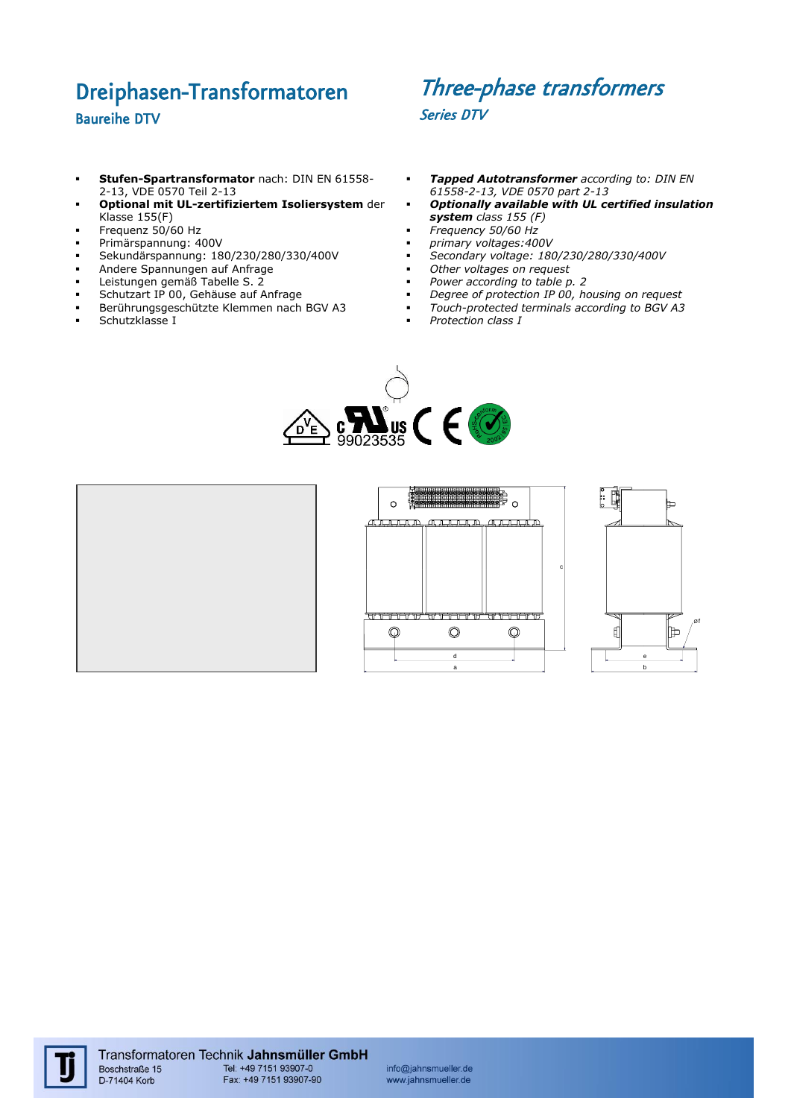## Dreiphasen-Transformatoren Baureihe DTV

## Three-phase transformers Series DTV

- **Stufen-Spartransformator** nach: DIN EN 61558- 2-13, VDE 0570 Teil 2-13
- **Optional mit UL-zertifiziertem Isoliersystem** der Klasse 155(F)
- Frequenz  $50/60$  Hz
- Primärspannung: 400V
- Sekundärspannung: 180/230/280/330/400V<br>Andere Spannungen auf Anfrage
- Andere Spannungen auf Anfrage
- **-** Leistungen gemäß Tabelle S. 2
- Schutzart IP 00, Gehäuse auf Anfrage
- Berührungsgeschützte Klemmen nach BGV A3
- Schutzklasse I
- *Tapped Autotransformer according to: DIN EN 61558-2-13, VDE 0570 part 2-13*
- *Optionally available with UL certified insulation system class 155 (F)*
- *Frequency 50/60 Hz*
- *primary voltages:400V*
- *Secondary voltage: 180/230/280/330/400V*
- *Other voltages on request*
- *Power according to table p. 2*
- *Degree of protection IP 00, housing on request Touch-protected terminals according to BGV A3*
- *Protection class I*





info@jahnsmueller.de www.jahnsmueller.de